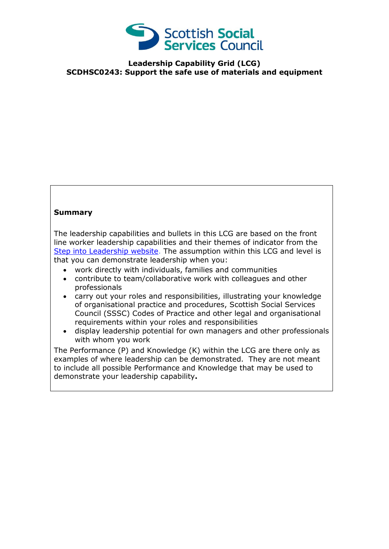

**Leadership Capability Grid (LCG) SCDHSC0243: Support the safe use of materials and equipment**

## **Summary**

The leadership capabilities and bullets in this LCG are based on the front line worker leadership capabilities and their themes of indicator from the [Step into Leadership website.](http://www.stepintoleadership.info/) The assumption within this LCG and level is that you can demonstrate leadership when you:

- work directly with individuals, families and communities
- contribute to team/collaborative work with colleagues and other professionals
- carry out your roles and responsibilities, illustrating your knowledge of organisational practice and procedures, Scottish Social Services Council (SSSC) Codes of Practice and other legal and organisational requirements within your roles and responsibilities
- display leadership potential for own managers and other professionals with whom you work

The Performance (P) and Knowledge (K) within the LCG are there only as examples of where leadership can be demonstrated. They are not meant to include all possible Performance and Knowledge that may be used to demonstrate your leadership capability**.**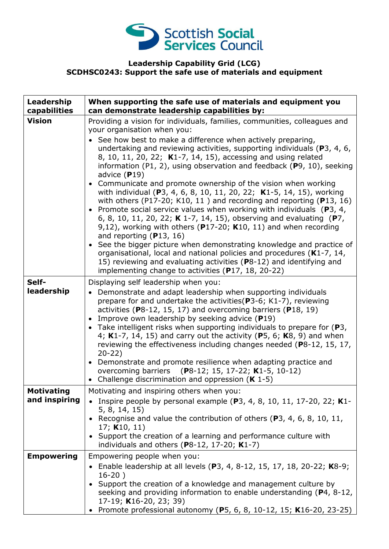

## **Leadership Capability Grid (LCG) SCDHSC0243: Support the safe use of materials and equipment**

| Leadership<br>capabilities         | When supporting the safe use of materials and equipment you<br>can demonstrate leadership capabilities by:                                                                                                                                                                                                                                                                                                                                                                                                                                                                                                                                                                                                                     |
|------------------------------------|--------------------------------------------------------------------------------------------------------------------------------------------------------------------------------------------------------------------------------------------------------------------------------------------------------------------------------------------------------------------------------------------------------------------------------------------------------------------------------------------------------------------------------------------------------------------------------------------------------------------------------------------------------------------------------------------------------------------------------|
| <b>Vision</b>                      | Providing a vision for individuals, families, communities, colleagues and<br>your organisation when you:<br>• See how best to make a difference when actively preparing,<br>undertaking and reviewing activities, supporting individuals ( $P_3$ , 4, 6,<br>8, 10, 11, 20, 22; K1-7, 14, 15), accessing and using related<br>information (P1, 2), using observation and feedback ( $P$ 9, 10), seeking<br>advice $(P19)$<br>• Communicate and promote ownership of the vision when working                                                                                                                                                                                                                                     |
|                                    | with individual (P3, 4, 6, 8, 10, 11, 20, 22; K1-5, 14, 15), working<br>with others (P17-20; K10, 11) and recording and reporting (P13, 16)<br>• Promote social service values when working with individuals ( $P_3$ , 4,<br>6, 8, 10, 11, 20, 22; K 1-7, 14, 15), observing and evaluating (P7,<br>9,12), working with others ( $P17-20$ ; K10, 11) and when recording<br>and reporting $(P13, 16)$<br>• See the bigger picture when demonstrating knowledge and practice of<br>organisational, local and national policies and procedures (K1-7, 14,<br>15) reviewing and evaluating activities (P8-12) and identifying and                                                                                                  |
|                                    | implementing change to activities (P17, 18, 20-22)                                                                                                                                                                                                                                                                                                                                                                                                                                                                                                                                                                                                                                                                             |
| Self-<br>leadership                | Displaying self leadership when you:<br>Demonstrate and adapt leadership when supporting individuals<br>prepare for and undertake the activities (P3-6; K1-7), reviewing<br>activities ( $P8-12$ , 15, 17) and overcoming barriers ( $P18$ , 19)<br>• Improve own leadership by seeking advice (P19)<br>• Take intelligent risks when supporting individuals to prepare for $(P3,$<br>4; K1-7, 14, 15) and carry out the activity (P5, 6; K8, 9) and when<br>reviewing the effectiveness including changes needed (P8-12, 15, 17,<br>$20-22)$<br>• Demonstrate and promote resilience when adapting practice and<br>overcoming barriers (P8-12; 15, 17-22; K1-5, 10-12)<br>• Challenge discrimination and oppression $(K 1-5)$ |
| <b>Motivating</b><br>and inspiring | Motivating and inspiring others when you:<br>Inspire people by personal example $(P3, 4, 8, 10, 11, 17-20, 22; K1$<br>5, 8, 14, 15)<br>• Recognise and value the contribution of others (P3, 4, 6, 8, 10, 11,<br>17; $K10, 11$<br>• Support the creation of a learning and performance culture with<br>individuals and others ( $P8-12$ , 17-20; $K1-7$ )                                                                                                                                                                                                                                                                                                                                                                      |
| <b>Empowering</b>                  | Empowering people when you:<br>• Enable leadership at all levels (P3, 4, 8-12, 15, 17, 18, 20-22; K8-9;<br>$16-20)$<br>Support the creation of a knowledge and management culture by<br>seeking and providing information to enable understanding (P4, 8-12,<br>17-19; K16-20, 23; 39)<br>• Promote professional autonomy (P5, 6, 8, 10-12, 15; K16-20, 23-25)                                                                                                                                                                                                                                                                                                                                                                 |